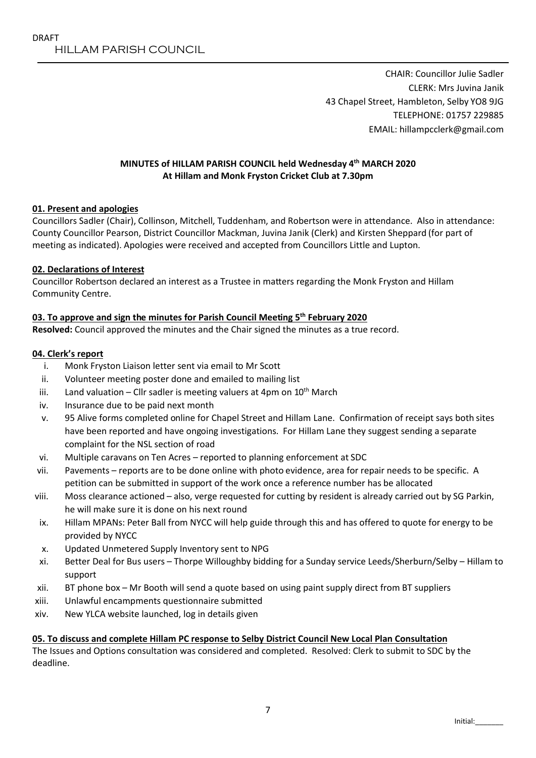CHAIR: Councillor Julie Sadler CLERK: Mrs Juvina Janik 43 Chapel Street, Hambleton, Selby YO8 9JG TELEPHONE: 01757 229885 EMAIL: hillampcclerk@gmail.com

#### MINUTES of HILLAM PARISH COUNCIL held Wednesday 4th MARCH 2020 At Hillam and Monk Fryston Cricket Club at 7.30pm

#### 01. Present and apologies

Councillors Sadler (Chair), Collinson, Mitchell, Tuddenham, and Robertson were in attendance. Also in attendance: County Councillor Pearson, District Councillor Mackman, Juvina Janik (Clerk) and Kirsten Sheppard (for part of meeting as indicated). Apologies were received and accepted from Councillors Little and Lupton.

#### 02. Declarations of Interest

Councillor Robertson declared an interest as a Trustee in matters regarding the Monk Fryston and Hillam Community Centre.

#### 03. To approve and sign the minutes for Parish Council Meeting  $5<sup>th</sup>$  February 2020

Resolved: Council approved the minutes and the Chair signed the minutes as a true record.

#### 04. Clerk's report

- i. Monk Fryston Liaison letter sent via email to Mr Scott
- ii. Volunteer meeting poster done and emailed to mailing list
- iii. Land valuation Cllr sadler is meeting valuers at 4pm on  $10^{th}$  March
- iv. Insurance due to be paid next month
- v. 95 Alive forms completed online for Chapel Street and Hillam Lane. Confirmation of receipt says both sites have been reported and have ongoing investigations. For Hillam Lane they suggest sending a separate complaint for the NSL section of road
- vi. Multiple caravans on Ten Acres reported to planning enforcement at SDC
- vii. Pavements reports are to be done online with photo evidence, area for repair needs to be specific. A petition can be submitted in support of the work once a reference number has be allocated
- viii. Moss clearance actioned also, verge requested for cutting by resident is already carried out by SG Parkin, he will make sure it is done on his next round
- ix. Hillam MPANs: Peter Ball from NYCC will help guide through this and has offered to quote for energy to be provided by NYCC
- x. Updated Unmetered Supply Inventory sent to NPG
- xi. Better Deal for Bus users Thorpe Willoughby bidding for a Sunday service Leeds/Sherburn/Selby Hillam to support
- xii. BT phone box Mr Booth will send a quote based on using paint supply direct from BT suppliers
- xiii. Unlawful encampments questionnaire submitted
- xiv. New YLCA website launched, log in details given

#### 05. To discuss and complete Hillam PC response to Selby District Council New Local Plan Consultation

The Issues and Options consultation was considered and completed. Resolved: Clerk to submit to SDC by the deadline.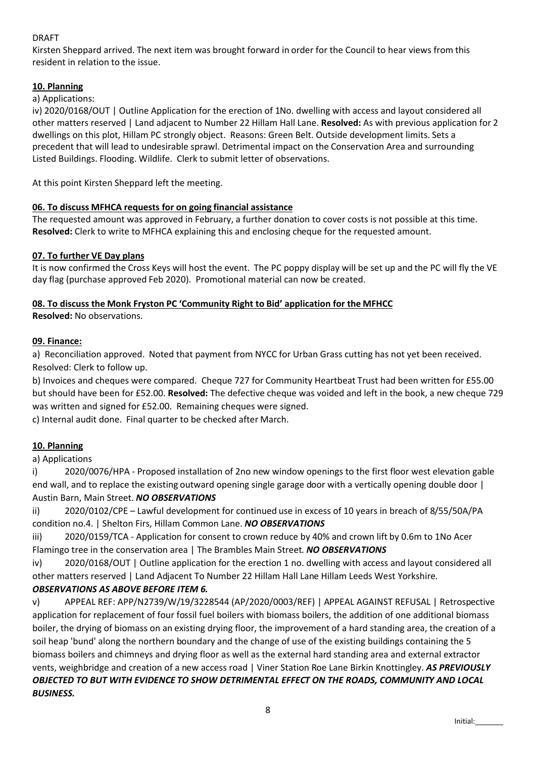# DRAFT

Kirsten Sheppard arrived. The next item was brought forward in order for the Council to hear views from this resident in relation to the issue.

# 10. Planning

# a) Applications:

iv) 2020/0168/OUT | Outline Application for the erection of 1No. dwelling with access and layout considered all other matters reserved | Land adjacent to Number 22 Hillam Hall Lane. Resolved: As with previous application for 2 dwellings on this plot, Hillam PC strongly object. Reasons: Green Belt. Outside development limits. Sets a precedent that will lead to undesirable sprawl. Detrimental impact on the Conservation Area and surrounding Listed Buildings. Flooding. Wildlife. Clerk to submit letter of observations.

At this point Kirsten Sheppard left the meeting.

# 06. To discuss MFHCA requests for on going financial assistance

The requested amount was approved in February, a further donation to cover costs is not possible at this time. Resolved: Clerk to write to MFHCA explaining this and enclosing cheque for the requested amount.

# 07. To further VE Day plans

It is now confirmed the Cross Keys will host the event. The PC poppy display will be set up and the PC will fly the VE day flag (purchase approved Feb 2020). Promotional material can now be created.

# 08. To discuss the Monk Fryston PC 'Community Right to Bid' application for the MFHCC

Resolved: No observations.

# 09. Finance:

a) Reconciliation approved. Noted that payment from NYCC for Urban Grass cutting has not yet been received. Resolved: Clerk to follow up.

b) Invoices and cheques were compared. Cheque 727 for Community Heartbeat Trust had been written for £55.00 but should have been for £52.00. Resolved: The defective cheque was voided and left in the book, a new cheque 729 was written and signed for £52.00. Remaining cheques were signed.

c) Internal audit done. Final quarter to be checked after March.

# 10. Planning

#### a) Applications

i) 2020/0076/HPA - Proposed installation of 2no new window openings to the first floor west elevation gable end wall, and to replace the existing outward opening single garage door with a vertically opening double door | Austin Barn, Main Street. *NO OBSERVATIONS*

ii) 2020/0102/CPE – Lawful development for continued use in excess of 10 years in breach of 8/55/50A/PA condition no.4. | Shelton Firs, Hillam Common Lane. *NO OBSERVATIONS*

iii) 2020/0159/TCA - Application for consent to crown reduce by 40% and crown lift by 0.6m to 1No Acer Flamingo tree in the conservation area | The Brambles Main Street. *NO OBSERVATIONS*

iv) 2020/0168/OUT | Outline application for the erection 1 no. dwelling with access and layout considered all other matters reserved | Land Adjacent To Number 22 Hillam Hall Lane Hillam Leeds West Yorkshire.

# *OBSERVATIONS AS ABOVE BEFORE ITEM 6.*

v) APPEAL REF: APP/N2739/W/19/3228544 (AP/2020/0003/REF) | APPEAL AGAINST REFUSAL | Retrospective application for replacement of four fossil fuel boilers with biomass boilers, the addition of one additional biomass boiler, the drying of biomass on an existing drying floor, the improvement of a hard standing area, the creation of a soil heap 'bund' along the northern boundary and the change of use of the existing buildings containing the 5 biomass boilers and chimneys and drying floor as well as the external hard standing area and external extractor vents, weighbridge and creation of a new access road | Viner Station Roe Lane Birkin Knottingley. *AS PREVIOUSLY OBJECTED TO BUT WITH EVIDENCE TO SHOW DETRIMENTAL EFFECT ON THE ROADS, COMMUNITY AND LOCAL BUSINESS.*